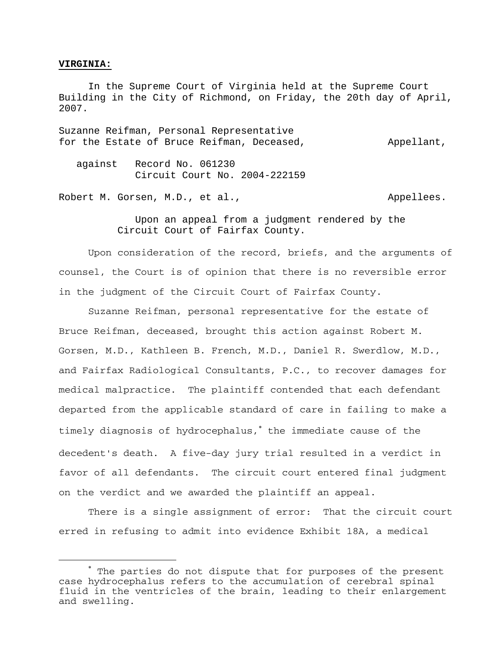## **VIRGINIA:**

 In the Supreme Court of Virginia held at the Supreme Court Building in the City of Richmond, on Friday, the 20th day of April, 2007.

Suzanne Reifman, Personal Representative for the Estate of Bruce Reifman, Deceased, The Appellant,

 against Record No. 061230 Circuit Court No. 2004-222159

Robert M. Gorsen, M.D., et al., and the controllers.

 Upon an appeal from a judgment rendered by the Circuit Court of Fairfax County.

 Upon consideration of the record, briefs, and the arguments of counsel, the Court is of opinion that there is no reversible error in the judgment of the Circuit Court of Fairfax County.

 Suzanne Reifman, personal representative for the estate of Bruce Reifman, deceased, brought this action against Robert M. Gorsen, M.D., Kathleen B. French, M.D., Daniel R. Swerdlow, M.D., and Fairfax Radiological Consultants, P.C., to recover damages for medical malpractice. The plaintiff contended that each defendant departed from the applicable standard of care in failing to make a timely diagnosis of hydrocephalus,<sup>∗</sup> the immediate cause of the decedent's death. A five-day jury trial resulted in a verdict in favor of all defendants. The circuit court entered final judgment on the verdict and we awarded the plaintiff an appeal.

There is a single assignment of error: That the circuit court erred in refusing to admit into evidence Exhibit 18A, a medical

<sup>∗</sup> \* The parties do not dispute that for purposes of the present case hydrocephalus refers to the accumulation of cerebral spinal fluid in the ventricles of the brain, leading to their enlargement and swelling.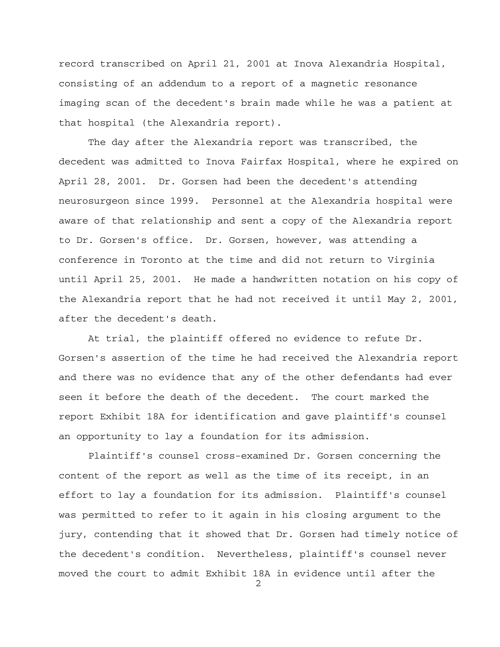record transcribed on April 21, 2001 at Inova Alexandria Hospital, consisting of an addendum to a report of a magnetic resonance imaging scan of the decedent's brain made while he was a patient at that hospital (the Alexandria report).

 The day after the Alexandria report was transcribed, the decedent was admitted to Inova Fairfax Hospital, where he expired on April 28, 2001. Dr. Gorsen had been the decedent's attending neurosurgeon since 1999. Personnel at the Alexandria hospital were aware of that relationship and sent a copy of the Alexandria report to Dr. Gorsen's office. Dr. Gorsen, however, was attending a conference in Toronto at the time and did not return to Virginia until April 25, 2001. He made a handwritten notation on his copy of the Alexandria report that he had not received it until May 2, 2001, after the decedent's death.

 At trial, the plaintiff offered no evidence to refute Dr. Gorsen's assertion of the time he had received the Alexandria report and there was no evidence that any of the other defendants had ever seen it before the death of the decedent. The court marked the report Exhibit 18A for identification and gave plaintiff's counsel an opportunity to lay a foundation for its admission.

 Plaintiff's counsel cross-examined Dr. Gorsen concerning the content of the report as well as the time of its receipt, in an effort to lay a foundation for its admission. Plaintiff's counsel was permitted to refer to it again in his closing argument to the jury, contending that it showed that Dr. Gorsen had timely notice of the decedent's condition. Nevertheless, plaintiff's counsel never moved the court to admit Exhibit 18A in evidence until after the

 $\mathcal{D}$